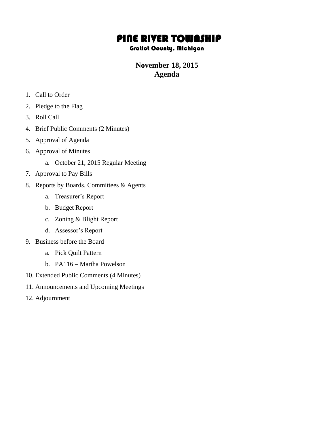# PINE RIVER TOWNSHIP

#### Gratiot County, Michigan

## **November 18, 2015 Agenda**

- 1. Call to Order
- 2. Pledge to the Flag
- 3. Roll Call
- 4. Brief Public Comments (2 Minutes)
- 5. Approval of Agenda
- 6. Approval of Minutes
	- a. October 21, 2015 Regular Meeting
- 7. Approval to Pay Bills
- 8. Reports by Boards, Committees & Agents
	- a. Treasurer's Report
	- b. Budget Report
	- c. Zoning & Blight Report
	- d. Assessor's Report
- 9. Business before the Board
	- a. Pick Quilt Pattern
	- b. PA116 Martha Powelson
- 10. Extended Public Comments (4 Minutes)
- 11. Announcements and Upcoming Meetings
- 12. Adjournment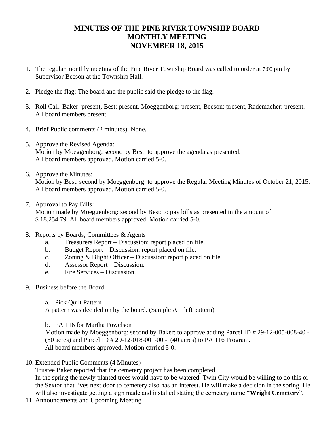#### **MINUTES OF THE PINE RIVER TOWNSHIP BOARD MONTHLY MEETING NOVEMBER 18, 2015**

- 1. The regular monthly meeting of the Pine River Township Board was called to order at 7:00 pm by Supervisor Beeson at the Township Hall.
- 2. Pledge the flag: The board and the public said the pledge to the flag.
- 3. Roll Call: Baker: present, Best: present, Moeggenborg: present, Beeson: present, Rademacher: present. All board members present.
- 4. Brief Public comments (2 minutes): None.
- 5. Approve the Revised Agenda: Motion by Moeggenborg: second by Best: to approve the agenda as presented. All board members approved. Motion carried 5-0.
- 6. Approve the Minutes: Motion by Best: second by Moeggenborg: to approve the Regular Meeting Minutes of October 21, 2015. All board members approved. Motion carried 5-0.
- 7. Approval to Pay Bills:

Motion made by Moeggenborg: second by Best: to pay bills as presented in the amount of \$ 18,254.79. All board members approved. Motion carried 5-0.

- 8. Reports by Boards, Committees & Agents
	- a. Treasurers Report Discussion; report placed on file.
	- b. Budget Report Discussion: report placed on file.
	- c. Zoning & Blight Officer Discussion: report placed on file
	- d. Assessor Report Discussion.
	- e. Fire Services Discussion.
- 9. Business before the Board
	- a. Pick Quilt Pattern

A pattern was decided on by the board. (Sample A – left pattern)

b. PA 116 for Martha Powelson

Motion made by Moeggenborg: second by Baker: to approve adding Parcel ID # 29-12-005-008-40 - (80 acres) and Parcel ID # 29-12-018-001-00 - (40 acres) to PA 116 Program. All board members approved. Motion carried 5-0.

10. Extended Public Comments (4 Minutes)

Trustee Baker reported that the cemetery project has been completed.

In the spring the newly planted trees would have to be watered. Twin City would be willing to do this or the Sexton that lives next door to cemetery also has an interest. He will make a decision in the spring. He will also investigate getting a sign made and installed stating the cemetery name "**Wright Cemetery**".

11. Announcements and Upcoming Meeting